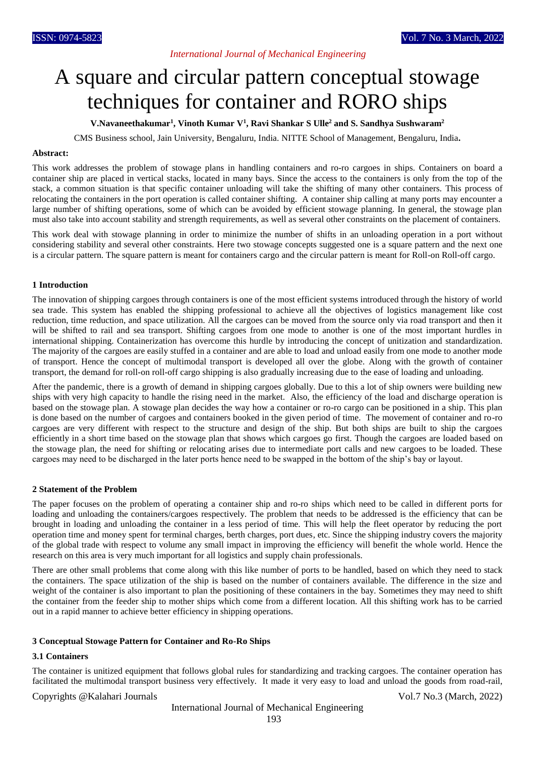# *International Journal of Mechanical Engineering*

# A square and circular pattern conceptual stowage techniques for container and RORO ships

**V.Navaneethakumar<sup>1</sup> , Vinoth Kumar V<sup>1</sup> , Ravi Shankar S Ulle<sup>2</sup> and S. Sandhya Sushwaram<sup>2</sup>**

CMS Business school, Jain University, Bengaluru, India. NITTE School of Management, Bengaluru, India**.**

#### **Abstract:**

This work addresses the problem of stowage plans in handling containers and ro-ro cargoes in ships. Containers on board a container ship are placed in vertical stacks, located in many bays. Since the access to the containers is only from the top of the stack, a common situation is that specific container unloading will take the shifting of many other containers. This process of relocating the containers in the port operation is called container shifting. A container ship calling at many ports may encounter a large number of shifting operations, some of which can be avoided by efficient stowage planning. In general, the stowage plan must also take into account stability and strength requirements, as well as several other constraints on the placement of containers.

This work deal with stowage planning in order to minimize the number of shifts in an unloading operation in a port without considering stability and several other constraints. Here two stowage concepts suggested one is a square pattern and the next one is a circular pattern. The square pattern is meant for containers cargo and the circular pattern is meant for Roll-on Roll-off cargo.

#### **1 Introduction**

The innovation of shipping cargoes through containers is one of the most efficient systems introduced through the history of world sea trade. This system has enabled the shipping professional to achieve all the objectives of logistics management like cost reduction, time reduction, and space utilization. All the cargoes can be moved from the source only via road transport and then it will be shifted to rail and sea transport. Shifting cargoes from one mode to another is one of the most important hurdles in international shipping. Containerization has overcome this hurdle by introducing the concept of unitization and standardization. The majority of the cargoes are easily stuffed in a container and are able to load and unload easily from one mode to another mode of transport. Hence the concept of multimodal transport is developed all over the globe. Along with the growth of container transport, the demand for roll-on roll-off cargo shipping is also gradually increasing due to the ease of loading and unloading.

After the pandemic, there is a growth of demand in shipping cargoes globally. Due to this a lot of ship owners were building new ships with very high capacity to handle the rising need in the market. Also, the efficiency of the load and discharge operation is based on the stowage plan. A stowage plan decides the way how a container or ro-ro cargo can be positioned in a ship. This plan is done based on the number of cargoes and containers booked in the given period of time. The movement of container and ro-ro cargoes are very different with respect to the structure and design of the ship. But both ships are built to ship the cargoes efficiently in a short time based on the stowage plan that shows which cargoes go first. Though the cargoes are loaded based on the stowage plan, the need for shifting or relocating arises due to intermediate port calls and new cargoes to be loaded. These cargoes may need to be discharged in the later ports hence need to be swapped in the bottom of the ship's bay or layout.

#### **2 Statement of the Problem**

The paper focuses on the problem of operating a container ship and ro-ro ships which need to be called in different ports for loading and unloading the containers/cargoes respectively. The problem that needs to be addressed is the efficiency that can be brought in loading and unloading the container in a less period of time. This will help the fleet operator by reducing the port operation time and money spent for terminal charges, berth charges, port dues, etc. Since the shipping industry covers the majority of the global trade with respect to volume any small impact in improving the efficiency will benefit the whole world. Hence the research on this area is very much important for all logistics and supply chain professionals.

There are other small problems that come along with this like number of ports to be handled, based on which they need to stack the containers. The space utilization of the ship is based on the number of containers available. The difference in the size and weight of the container is also important to plan the positioning of these containers in the bay. Sometimes they may need to shift the container from the feeder ship to mother ships which come from a different location. All this shifting work has to be carried out in a rapid manner to achieve better efficiency in shipping operations.

#### **3 Conceptual Stowage Pattern for Container and Ro-Ro Ships**

#### **3.1 Containers**

The container is unitized equipment that follows global rules for standardizing and tracking cargoes. The container operation has facilitated the multimodal transport business very effectively. It made it very easy to load and unload the goods from road-rail,

#### Copyrights @Kalahari Journals Vol.7 No.3 (March, 2022)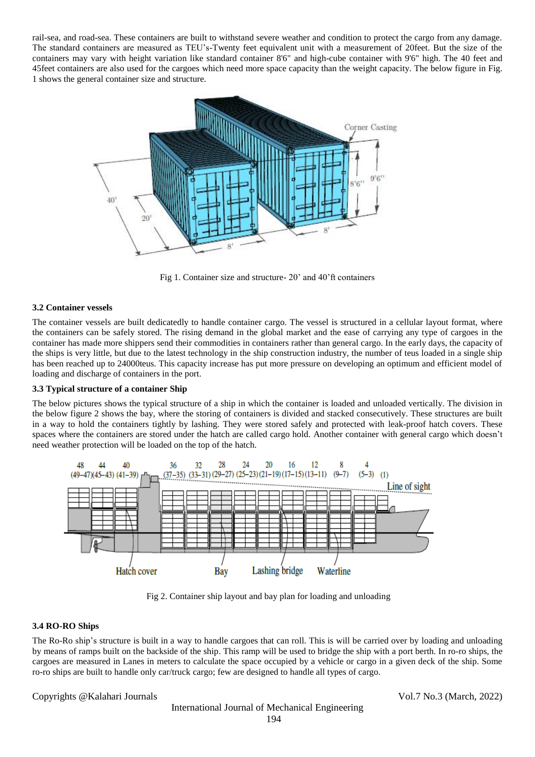rail-sea, and road-sea. These containers are built to withstand severe weather and condition to protect the cargo from any damage. The standard containers are measured as TEU's-Twenty feet equivalent unit with a measurement of 20feet. But the size of the containers may vary with height variation like standard container 8'6" and high-cube container with 9'6" high. The 40 feet and 45feet containers are also used for the cargoes which need more space capacity than the weight capacity. The below figure in Fig. 1 shows the general container size and structure.



Fig 1. Container size and structure- 20' and 40'ft containers

## **3.2 Container vessels**

The container vessels are built dedicatedly to handle container cargo. The vessel is structured in a cellular layout format, where the containers can be safely stored. The rising demand in the global market and the ease of carrying any type of cargoes in the container has made more shippers send their commodities in containers rather than general cargo. In the early days, the capacity of the ships is very little, but due to the latest technology in the ship construction industry, the number of teus loaded in a single ship has been reached up to 24000 teus. This capacity increase has put more pressure on developing an optimum and efficient model of loading and discharge of containers in the port.

## **3.3 Typical structure of a container Ship**

The below pictures shows the typical structure of a ship in which the container is loaded and unloaded vertically. The division in the below figure 2 shows the bay, where the storing of containers is divided and stacked consecutively. These structures are built in a way to hold the containers tightly by lashing. They were stored safely and protected with leak-proof hatch covers. These spaces where the containers are stored under the hatch are called cargo hold. Another container with general cargo which doesn't need weather protection will be loaded on the top of the hatch.



Fig 2. Container ship layout and bay plan for loading and unloading

## **3.4 RO-RO Ships**

The Ro-Ro ship's structure is built in a way to handle cargoes that can roll. This is will be carried over by loading and unloading by means of ramps built on the backside of the ship. This ramp will be used to bridge the ship with a port berth. In ro-ro ships, the cargoes are measured in Lanes in meters to calculate the space occupied by a vehicle or cargo in a given deck of the ship. Some ro-ro ships are built to handle only car/truck cargo; few are designed to handle all types of cargo.

# Copyrights @Kalahari Journals Vol.7 No.3 (March, 2022)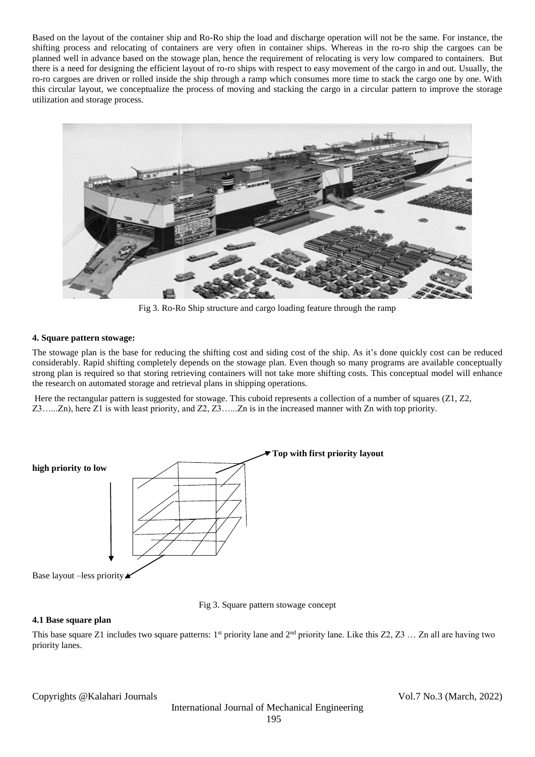Based on the layout of the container ship and Ro-Ro ship the load and discharge operation will not be the same. For instance, the shifting process and relocating of containers are very often in container ships. Whereas in the ro-ro ship the cargoes can be planned well in advance based on the stowage plan, hence the requirement of relocating is very low compared to containers. But there is a need for designing the efficient layout of ro-ro ships with respect to easy movement of the cargo in and out. Usually, the ro-ro cargoes are driven or rolled inside the ship through a ramp which consumes more time to stack the cargo one by one. With this circular layout, we conceptualize the process of moving and stacking the cargo in a circular pattern to improve the storage utilization and storage process.



Fig 3. Ro-Ro Ship structure and cargo loading feature through the ramp

## **4. Square pattern stowage:**

The stowage plan is the base for reducing the shifting cost and siding cost of the ship. As it's done quickly cost can be reduced considerably. Rapid shifting completely depends on the stowage plan. Even though so many programs are available conceptually strong plan is required so that storing retrieving containers will not take more shifting costs. This conceptual model will enhance the research on automated storage and retrieval plans in shipping operations.

Here the rectangular pattern is suggested for stowage. This cuboid represents a collection of a number of squares (Z1, Z2, Z3…...Zn), here Z1 is with least priority, and Z2, Z3…...Zn is in the increased manner with Zn with top priority.



Fig 3. Square pattern stowage concept

## **4.1 Base square plan**

This base square Z1 includes two square patterns:  $1^{st}$  priority lane and  $2^{nd}$  priority lane. Like this Z2, Z3 ... Zn all are having two priority lanes.

Copyrights @Kalahari Journals Vol.7 No.3 (March, 2022)

International Journal of Mechanical Engineering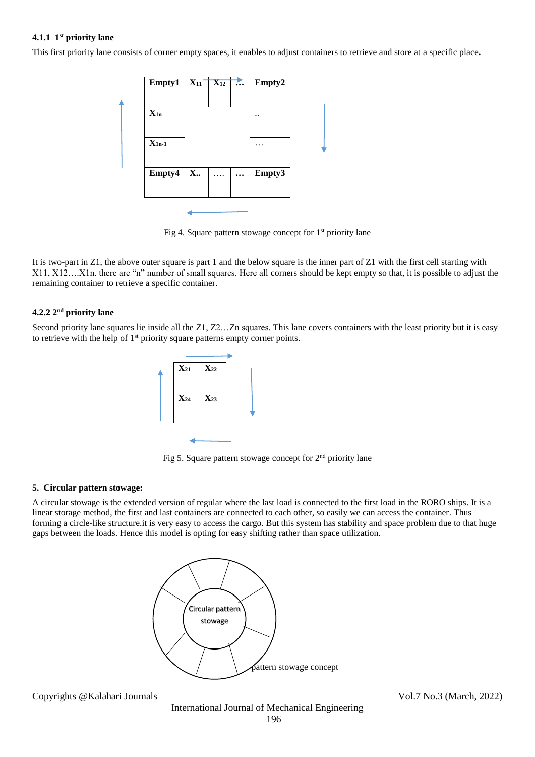## **4.1.1 1 st priority lane**

This first priority lane consists of corner empty spaces, it enables to adjust containers to retrieve and store at a specific place**.**

| Empty1     | $X_{11}$ | $\overline{\mathbf{X}_{12}}$ | $\dddotsc$ | Empty2 |
|------------|----------|------------------------------|------------|--------|
|            |          |                              |            |        |
| $X_{1n}$   |          |                              |            |        |
|            |          |                              |            |        |
| $X_{1n-1}$ |          |                              |            | .      |
|            |          |                              |            |        |
| Empty4     | X        | .                            | $\cdots$   | Empty3 |
|            |          |                              |            |        |

Fig 4. Square pattern stowage concept for 1<sup>st</sup> priority lane

It is two-part in Z1, the above outer square is part 1 and the below square is the inner part of Z1 with the first cell starting with X11, X12….X1n. there are "n" number of small squares. Here all corners should be kept empty so that, it is possible to adjust the remaining container to retrieve a specific container.

# **4.2.2 2nd priority lane**

Second priority lane squares lie inside all the Z1, Z2...Zn squares. This lane covers containers with the least priority but it is easy to retrieve with the help of 1<sup>st</sup> priority square patterns empty corner points.



Fig 5. Square pattern stowage concept for  $2<sup>nd</sup>$  priority lane

#### **5. Circular pattern stowage:**

A circular stowage is the extended version of regular where the last load is connected to the first load in the RORO ships. It is a linear storage method, the first and last containers are connected to each other, so easily we can access the container. Thus forming a circle-like structure.it is very easy to access the cargo. But this system has stability and space problem due to that huge gaps between the loads. Hence this model is opting for easy shifting rather than space utilization.



Copyrights @Kalahari Journals Vol.7 No.3 (March, 2022)

International Journal of Mechanical Engineering 196